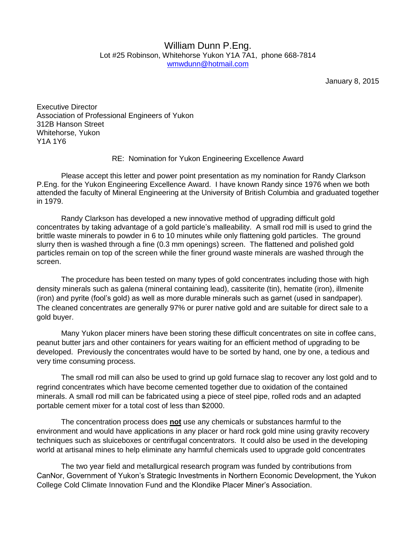## William Dunn P.Eng. Lot #25 Robinson, Whitehorse Yukon Y1A 7A1, phone 668-7814 [wmwdunn@hotmail.com](mailto:wmwdunn@hotmail.com)

January 8, 2015

Executive Director Association of Professional Engineers of Yukon 312B Hanson Street Whitehorse, Yukon Y1A 1Y6

RE: Nomination for Yukon Engineering Excellence Award

Please accept this letter and power point presentation as my nomination for Randy Clarkson P.Eng. for the Yukon Engineering Excellence Award. I have known Randy since 1976 when we both attended the faculty of Mineral Engineering at the University of British Columbia and graduated together in 1979.

Randy Clarkson has developed a new innovative method of upgrading difficult gold concentrates by taking advantage of a gold particle's malleability. A small rod mill is used to grind the brittle waste minerals to powder in 6 to 10 minutes while only flattening gold particles. The ground slurry then is washed through a fine (0.3 mm openings) screen. The flattened and polished gold particles remain on top of the screen while the finer ground waste minerals are washed through the screen.

The procedure has been tested on many types of gold concentrates including those with high density minerals such as galena (mineral containing lead), cassiterite (tin), hematite (iron), illmenite (iron) and pyrite (fool's gold) as well as more durable minerals such as garnet (used in sandpaper). The cleaned concentrates are generally 97% or purer native gold and are suitable for direct sale to a gold buyer.

Many Yukon placer miners have been storing these difficult concentrates on site in coffee cans, peanut butter jars and other containers for years waiting for an efficient method of upgrading to be developed. Previously the concentrates would have to be sorted by hand, one by one, a tedious and very time consuming process.

The small rod mill can also be used to grind up gold furnace slag to recover any lost gold and to regrind concentrates which have become cemented together due to oxidation of the contained minerals. A small rod mill can be fabricated using a piece of steel pipe, rolled rods and an adapted portable cement mixer for a total cost of less than \$2000.

The concentration process does **not** use any chemicals or substances harmful to the environment and would have applications in any placer or hard rock gold mine using gravity recovery techniques such as sluiceboxes or centrifugal concentrators. It could also be used in the developing world at artisanal mines to help eliminate any harmful chemicals used to upgrade gold concentrates

The two year field and metallurgical research program was funded by contributions from CanNor, Government of Yukon's Strategic Investments in Northern Economic Development, the Yukon College Cold Climate Innovation Fund and the Klondike Placer Miner's Association.